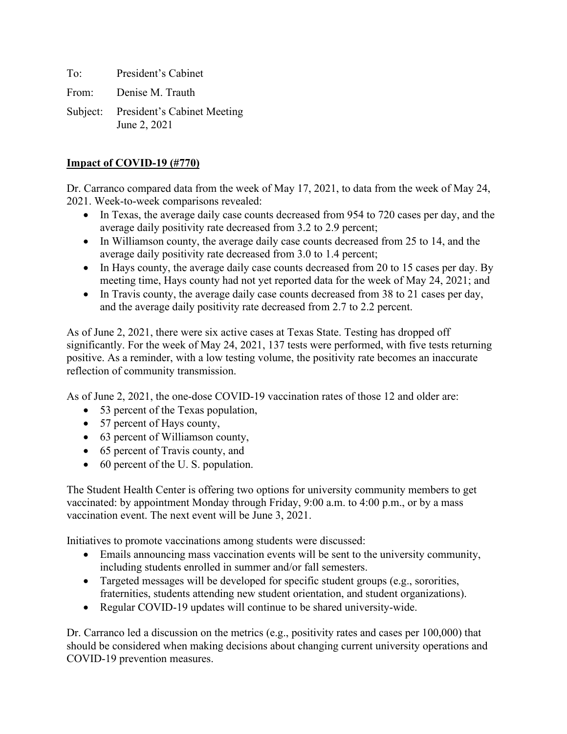To: President's Cabinet

From: Denise M. Trauth

Subject: President's Cabinet Meeting June 2, 2021

## **Impact of COVID-19 (#770)**

Dr. Carranco compared data from the week of May 17, 2021, to data from the week of May 24, 2021. Week-to-week comparisons revealed:

- In Texas, the average daily case counts decreased from 954 to 720 cases per day, and the average daily positivity rate decreased from 3.2 to 2.9 percent;
- In Williamson county, the average daily case counts decreased from 25 to 14, and the average daily positivity rate decreased from 3.0 to 1.4 percent;
- In Hays county, the average daily case counts decreased from 20 to 15 cases per day. By meeting time, Hays county had not yet reported data for the week of May 24, 2021; and
- In Travis county, the average daily case counts decreased from 38 to 21 cases per day, and the average daily positivity rate decreased from 2.7 to 2.2 percent.

As of June 2, 2021, there were six active cases at Texas State. Testing has dropped off significantly. For the week of May 24, 2021, 137 tests were performed, with five tests returning positive. As a reminder, with a low testing volume, the positivity rate becomes an inaccurate reflection of community transmission.

As of June 2, 2021, the one-dose COVID-19 vaccination rates of those 12 and older are:

- 53 percent of the Texas population,
- 57 percent of Hays county,
- 63 percent of Williamson county,
- 65 percent of Travis county, and
- 60 percent of the U.S. population.

The Student Health Center is offering two options for university community members to get vaccinated: by appointment Monday through Friday, 9:00 a.m. to 4:00 p.m., or by a mass vaccination event. The next event will be June 3, 2021.

Initiatives to promote vaccinations among students were discussed:

- Emails announcing mass vaccination events will be sent to the university community, including students enrolled in summer and/or fall semesters.
- Targeted messages will be developed for specific student groups (e.g., sororities, fraternities, students attending new student orientation, and student organizations).
- Regular COVID-19 updates will continue to be shared university-wide.

Dr. Carranco led a discussion on the metrics (e.g., positivity rates and cases per 100,000) that should be considered when making decisions about changing current university operations and COVID-19 prevention measures.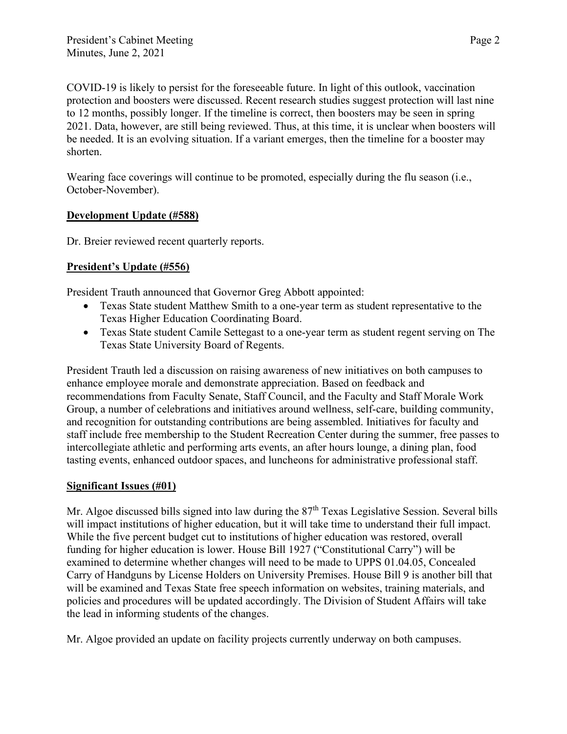COVID-19 is likely to persist for the foreseeable future. In light of this outlook, vaccination protection and boosters were discussed. Recent research studies suggest protection will last nine to 12 months, possibly longer. If the timeline is correct, then boosters may be seen in spring 2021. Data, however, are still being reviewed. Thus, at this time, it is unclear when boosters will be needed. It is an evolving situation. If a variant emerges, then the timeline for a booster may shorten.

Wearing face coverings will continue to be promoted, especially during the flu season (i.e., October-November).

## **Development Update (#588)**

Dr. Breier reviewed recent quarterly reports.

## **President's Update (#556)**

President Trauth announced that Governor Greg Abbott appointed:

- Texas State student Matthew Smith to a one-year term as student representative to the Texas Higher Education Coordinating Board.
- Texas State student Camile Settegast to a one-year term as student regent serving on The Texas State University Board of Regents.

President Trauth led a discussion on raising awareness of new initiatives on both campuses to enhance employee morale and demonstrate appreciation. Based on feedback and recommendations from Faculty Senate, Staff Council, and the Faculty and Staff Morale Work Group, a number of celebrations and initiatives around wellness, self-care, building community, and recognition for outstanding contributions are being assembled. Initiatives for faculty and staff include free membership to the Student Recreation Center during the summer, free passes to intercollegiate athletic and performing arts events, an after hours lounge, a dining plan, food tasting events, enhanced outdoor spaces, and luncheons for administrative professional staff.

## **Significant Issues (#01)**

Mr. Algoe discussed bills signed into law during the  $87<sup>th</sup>$  Texas Legislative Session. Several bills will impact institutions of higher education, but it will take time to understand their full impact. While the five percent budget cut to institutions of higher education was restored, overall funding for higher education is lower. House Bill 1927 ("Constitutional Carry") will be examined to determine whether changes will need to be made to UPPS 01.04.05, Concealed Carry of Handguns by License Holders on University Premises. House Bill 9 is another bill that will be examined and Texas State free speech information on websites, training materials, and policies and procedures will be updated accordingly. The Division of Student Affairs will take the lead in informing students of the changes.

Mr. Algoe provided an update on facility projects currently underway on both campuses.